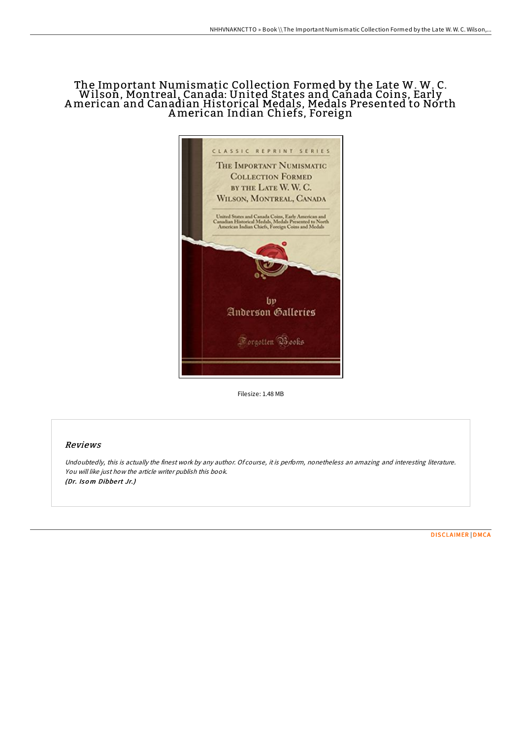# The Important Numismatic Collection Formed by the Late W. W. C. Wilson, Montreal, Canada: United States and Canada Coins, Early American and Canadian Historical Medals, Medals Presented to North American Indian Chiefs, Foreign



Filesize: 1.48 MB

## Reviews

Undoubtedly, this is actually the finest work by any author. Of course, it is perform, nonetheless an amazing and interesting literature. You will like just how the article writer publish this book. (Dr. Isom Dibbert Jr.)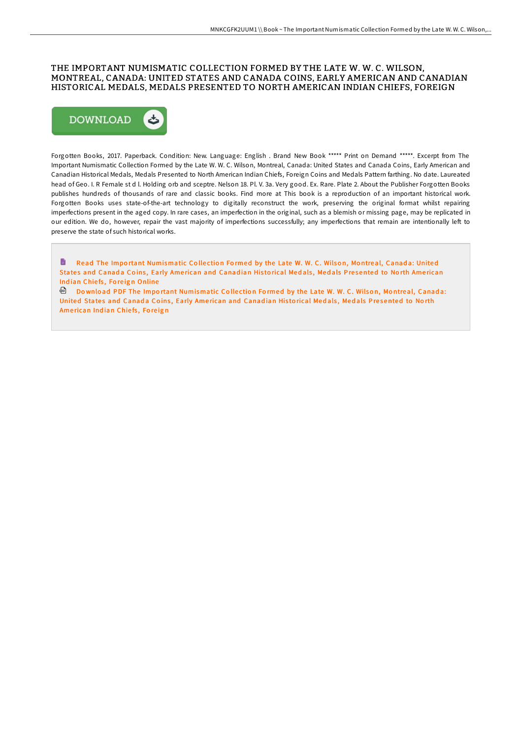## THE IMPORTANT NUMISMATIC COLLECTION FORMED BY THE LATE W. W. C. WILSON. MONTREAL, CANADA: UNITED STATES AND CANADA COINS, EARLY AMERICAN AND CANADIAN HISTORICAL MEDALS, MEDALS PRESENTED TO NORTH AMERICAN INDIAN CHIEFS, FOREIGN



Forgotten Books, 2017. Paperback. Condition: New. Language: English. Brand New Book \*\*\*\*\* Print on Demand \*\*\*\*\*. Excerpt from The Important Numismatic Collection Formed by the Late W. W. C. Wilson, Montreal, Canada: United States and Canada Coins, Early American and Canadian Historical Medals, Medals Presented to North American Indian Chiefs, Foreign Coins and Medals Pattern farthing. No date. Laureated head of Geo. I. R Female std l. Holding orb and sceptre. Nelson 18. Pl. V. 3a. Very good. Ex. Rare. Plate 2. About the Publisher Forgotten Books publishes hundreds of thousands of rare and classic books. Find more at This book is a reproduction of an important historical work. Forgotten Books uses state-of-the-art technology to digitally reconstruct the work, preserving the original format whilst repairing imperfections present in the aged copy. In rare cases, an imperfection in the original, such as a blemish or missing page, may be replicated in our edition. We do, however, repair the vast majority of imperfections successfully; any imperfections that remain are intentionally left to preserve the state of such historical works.

h Read The Important Numismatic Collection Formed by the Late W. W. C. Wilson, Montreal, Canada: United States and Canada Coins, Early American and Canadian Historical Medals, Medals Presented to North American Indian Chiefs, Foreign Online

Download PDF The Important Numismatic Collection Formed by the Late W. W. C. Wilson, Montreal, Canada: United States and Canada Coins, Early American and Canadian Historical Medals, Medals Presented to North American Indian Chiefs, Foreign